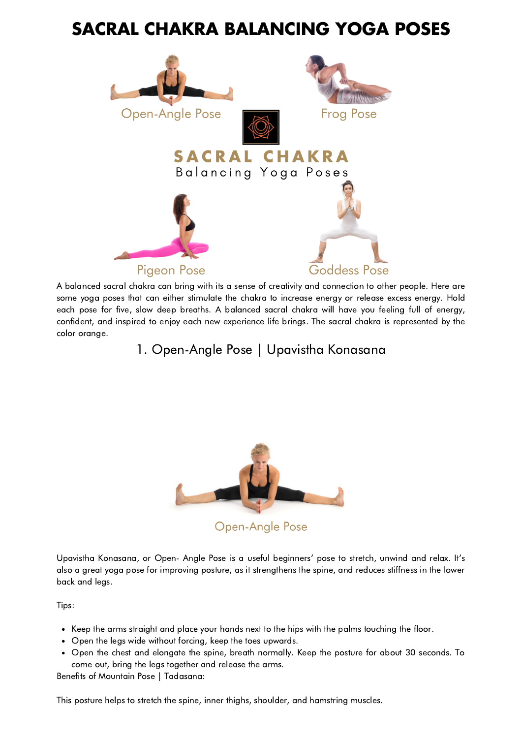## **SACRAL CHAKRA BALANCING YOGA POSES**



A balanced sacral chakra can bring with its a sense of creativity and connection to other people. Here are some yoga poses that can either stimulate the chakra to increase energy or release excess energy. Hold each pose for five, slow deep breaths. A balanced sacral chakra will have you feeling full of energy, confident, and inspired to enjoy each new experience life brings. The sacral chakra is represented by the color orange.

1. Open-Angle Pose | Upavistha Konasana



Upavistha Konasana, or Open- Angle Pose is a useful beginners' pose to stretch, unwind and relax. It's also a great yoga pose for improving posture, as it strengthens the spine, and reduces stiffness in the lower back and legs.

Tips:

- Keep the arms straight and place your hands next to the hips with the palms touching the floor.
- Open the legs wide without forcing, keep the toes upwards.
- Open the chest and elongate the spine, breath normally. Keep the posture for about 30 seconds. To come out, bring the legs together and release the arms.

Benefits of Mountain Pose | Tadasana:

This posture helps to stretch the spine, inner thighs, shoulder, and hamstring muscles.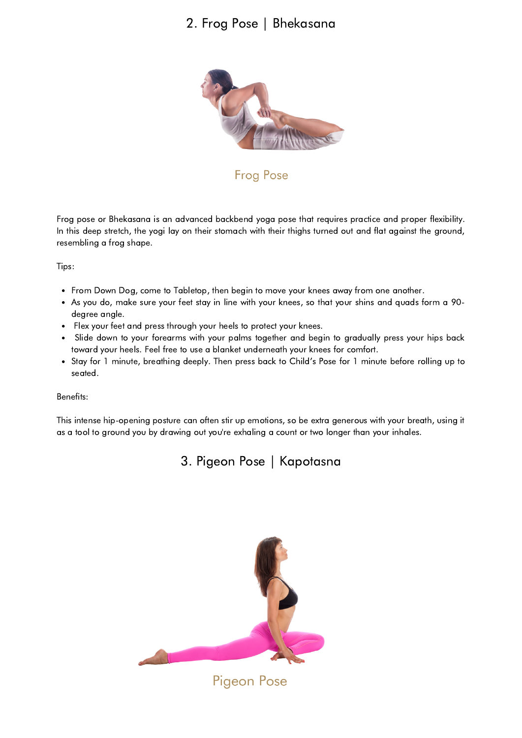## 2. Frog Pose | Bhekasana



**Frog Pose** 

Frog pose or Bhekasana is an advanced backbend yoga pose that requires practice and proper flexibility. In this deep stretch, the yogi lay on their stomach with their thighs turned out and flat against the ground, resembling a frog shape.

Tips:

- From Down Dog, come to Tabletop, then begin to move your knees away from one another.
- As you do, make sure your feet stay in line with your knees, so that your shins and quads form a 90 degree angle.
- Flex your feet and press through your heels to protect your knees.  $\bullet$
- Slide down to your forearms with your palms together and begin to gradually press your hips back  $\bullet$ toward your heels. Feel free to use a blanket underneath your knees for comfort.
- Stay for 1 minute, breathing deeply. Then press back to Child's Pose for 1 minute before rolling up to seated.

Benefits:

This intense hip-opening posture can often stir up emotions, so be extra generous with your breath, using it as a tool to ground you by drawing out you're exhaling a count or two longer than your inhales.

3. Pigeon Pose | Kapotasna